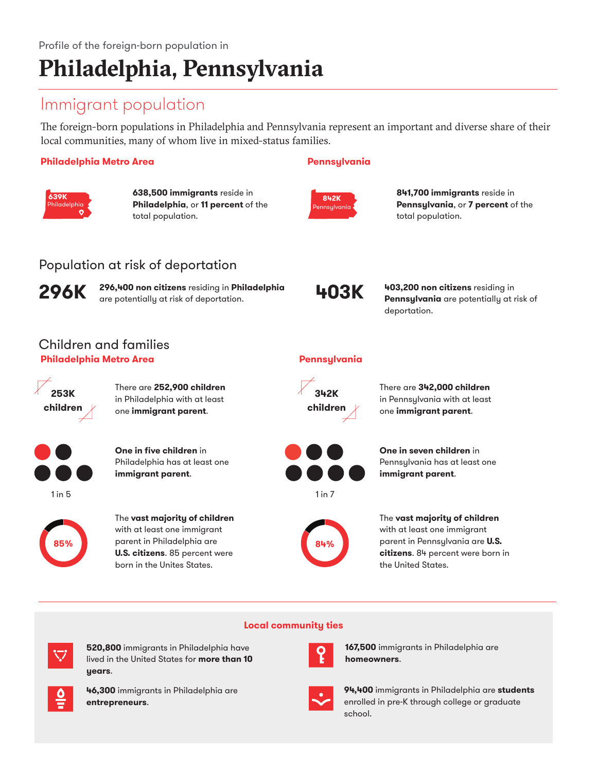# **Philadelphia, Pennsylvania**

## Immigrant population

The foreign-born populations in Philadelphia and Pennsylvania represent an important and diverse share of their local communities, many of whom live in mixed-status families.

## **Philadelphia Metro Area Pennsylvania**



**638,500 immigrants** reside in **Philadelphia**, or **11 percent** of the total population.



**841,700 immigrants** reside in **Pennsylvania**, or **7 percent** of the total population.

## Population at risk of deportation



**296,400 non citizens** residing in **Philadelphia 296K** are potentially at risk of deportation. **403K**



**403,200 non citizens** residing in **Pennsylvania** are potentially at risk of deportation.

## Children and families **Philadelphia Metro Area Pennsylvania**



There are **252,900 children** in Philadelphia with at least one **immigrant parent**.



**One in five children** in Philadelphia has at least one **immigrant parent**.



The **vast majority of children** with at least one immigrant  $1 \text{ in } 5$  1 in 7

parent in Philadelphia are **85% 84%U.S. citizens**. 85 percent were born in the Unites States.



There are **342,000 children** in Pennsylvania with at least one **immigrant parent**.



**One in seven children** in Pennsylvania has at least one **immigrant parent**.



The **vast majority of children**  with at least one immigrant parent in Pennsylvania are **U.S. citizens**. 84 percent were born in the United States.

## **Local community ties**



**520,800** immigrants in Philadelphia have lived in the United States for **more than 10 years**.



**46,300** immigrants in Philadelphia are **entrepreneurs**.



**167,500** immigrants in Philadelphia are **homeowners**.



**94,400** immigrants in Philadelphia are **students** enrolled in pre-K through college or graduate school.